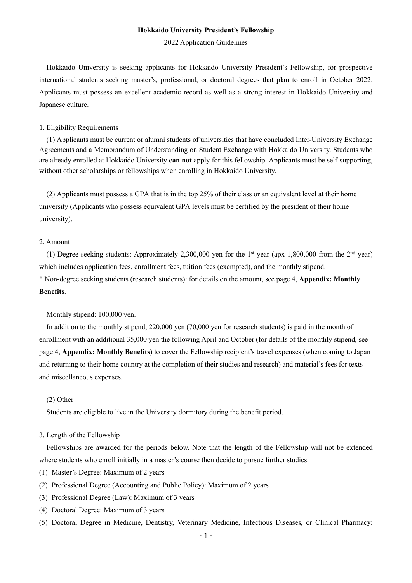#### **Hokkaido University President's Fellowship**

―2022 Application Guidelines―

Hokkaido University is seeking applicants for Hokkaido University President's Fellowship, for prospective international students seeking master's, professional, or doctoral degrees that plan to enroll in October 2022. Applicants must possess an excellent academic record as well as a strong interest in Hokkaido University and Japanese culture.

#### 1. Eligibility Requirements

(1) Applicants must be current or alumni students of universities that have concluded Inter-University Exchange Agreements and a Memorandum of Understanding on Student Exchange with Hokkaido University. Students who are already enrolled at Hokkaido University **can not** apply for this fellowship. Applicants must be self-supporting, without other scholarships or fellowships when enrolling in Hokkaido University.

(2) Applicants must possess a GPA that is in the top 25% of their class or an equivalent level at their home university (Applicants who possess equivalent GPA levels must be certified by the president of their home university).

### 2. Amount

(1) Degree seeking students: Approximately 2,300,000 yen for the 1<sup>st</sup> year (apx 1,800,000 from the 2<sup>nd</sup> year) which includes application fees, enrollment fees, tuition fees (exempted), and the monthly stipend. \* Non-degree seeking students (research students): for details on the amount, see page 4, **Appendix: Monthly Benefits**.

Monthly stipend: 100,000 yen.

In addition to the monthly stipend, 220,000 yen (70,000 yen for research students) is paid in the month of enrollment with an additional 35,000 yen the following April and October (for details of the monthly stipend, see page 4, **Appendix: Monthly Benefits)** to cover the Fellowship recipient's travel expenses (when coming to Japan and returning to their home country at the completion of their studies and research) and material's fees for texts and miscellaneous expenses.

#### (2) Other

Students are eligible to live in the University dormitory during the benefit period.

### 3. Length of the Fellowship

Fellowships are awarded for the periods below. Note that the length of the Fellowship will not be extended where students who enroll initially in a master's course then decide to pursue further studies.

- (1) Master's Degree: Maximum of 2 years
- (2) Professional Degree (Accounting and Public Policy): Maximum of 2 years
- (3) Professional Degree (Law): Maximum of 3 years
- (4) Doctoral Degree: Maximum of 3 years
- (5) Doctoral Degree in Medicine, Dentistry, Veterinary Medicine, Infectious Diseases, or Clinical Pharmacy:

 $-1 -$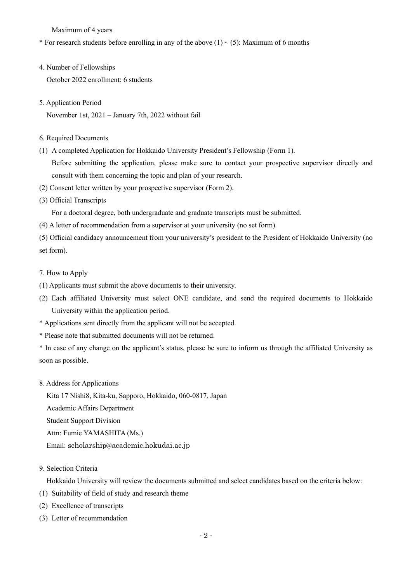Maximum of 4 years

# \* For research students before enrolling in any of the above  $(1) \sim (5)$ : Maximum of 6 months

4. Number of Fellowships

October 2022 enrollment: 6 students

5. Application Period

November 1st, 2021 – January 7th, 2022 without fail

## 6. Required Documents

(1) A completed Application for Hokkaido University President's Fellowship (Form 1). Before submitting the application, please make sure to contact your prospective supervisor directly and consult with them concerning the topic and plan of your research.

- (2) Consent letter written by your prospective supervisor (Form 2).
- (3) Official Transcripts

For a doctoral degree, both undergraduate and graduate transcripts must be submitted.

(4) A letter of recommendation from a supervisor at your university (no set form).

(5) Official candidacy announcement from your university's president to the President of Hokkaido University (no set form).

- 7. How to Apply
- (1) Applicants must submit the above documents to their university.
- (2) Each affiliated University must select ONE candidate, and send the required documents to Hokkaido University within the application period.
- \* Applications sent directly from the applicant will not be accepted.
- \* Please note that submitted documents will not be returned.
- \* In case of any change on the applicant's status, please be sure to inform us through the affiliated University as soon as possible.
- 8. Address for Applications

Kita 17 Nishi8, Kita-ku, Sapporo, Hokkaido, 060-0817, Japan

Academic Affairs Department

Student Support Division

Attn: Fumie YAMASHITA (Ms.)

Email: scholarship@academic.hokudai.ac.jp

9. Selection Criteria

Hokkaido University will review the documents submitted and select candidates based on the criteria below:

- (1) Suitability of field of study and research theme
- (2) Excellence of transcripts
- (3) Letter of recommendation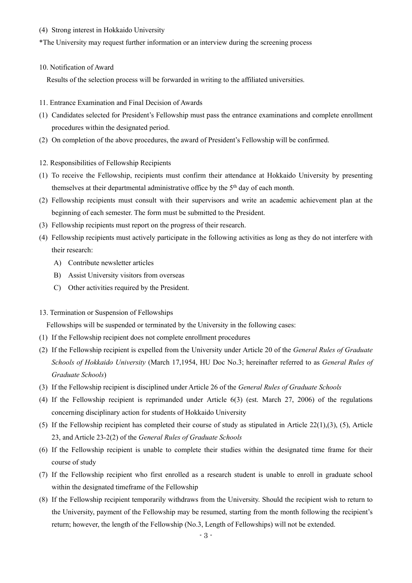(4) Strong interest in Hokkaido University

\*The University may request further information or an interview during the screening process

10. Notification of Award

Results of the selection process will be forwarded in writing to the affiliated universities.

- 11. Entrance Examination and Final Decision of Awards
- (1) Candidates selected for President's Fellowship must pass the entrance examinations and complete enrollment procedures within the designated period.
- (2) On completion of the above procedures, the award of President's Fellowship will be confirmed.
- 12. Responsibilities of Fellowship Recipients
- (1) To receive the Fellowship, recipients must confirm their attendance at Hokkaido University by presenting themselves at their departmental administrative office by the 5<sup>th</sup> day of each month.
- (2) Fellowship recipients must consult with their supervisors and write an academic achievement plan at the beginning of each semester. The form must be submitted to the President.
- (3) Fellowship recipients must report on the progress of their research.
- (4) Fellowship recipients must actively participate in the following activities as long as they do not interfere with their research:
	- A) Contribute newsletter articles
	- B) Assist University visitors from overseas
	- C) Other activities required by the President.
- 13. Termination or Suspension of Fellowships

Fellowships will be suspended or terminated by the University in the following cases:

- (1) If the Fellowship recipient does not complete enrollment procedures
- (2) If the Fellowship recipient is expelled from the University under Article 20 of the *General Rules of Graduate Schools of Hokkaido University* (March 17,1954, HU Doc No.3; hereinafter referred to as *General Rules of Graduate Schools*)
- (3) If the Fellowship recipient is disciplined under Article 26 of the *General Rules of Graduate Schools*
- (4) If the Fellowship recipient is reprimanded under Article 6(3) (est. March 27, 2006) of the regulations concerning disciplinary action for students of Hokkaido University
- (5) If the Fellowship recipient has completed their course of study as stipulated in Article  $22(1),(3)$ , (5), Article 23, and Article 23-2(2) of the *General Rules of Graduate Schools*
- (6) If the Fellowship recipient is unable to complete their studies within the designated time frame for their course of study
- (7) If the Fellowship recipient who first enrolled as a research student is unable to enroll in graduate school within the designated timeframe of the Fellowship
- (8) If the Fellowship recipient temporarily withdraws from the University. Should the recipient wish to return to the University, payment of the Fellowship may be resumed, starting from the month following the recipient's return; however, the length of the Fellowship (No.3, Length of Fellowships) will not be extended.